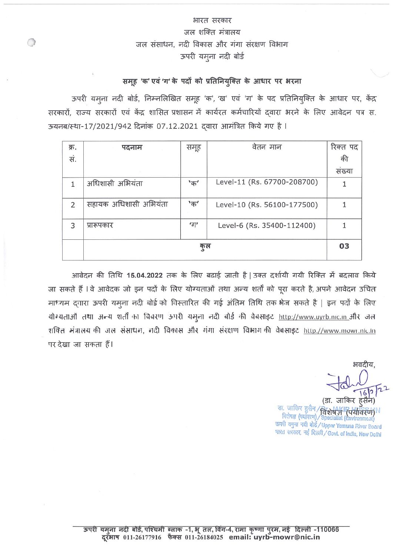## भारत सरकार जल शक्ति मंत्रालय जल संसाधन, नदी विकास और गंगा संरक्षण विभाग ऊपरी यमुना नदी बोर्ड

## समूह 'क' एवं 'ग' के पदों को प्रतिनियुक्ति के आधार पर भरना

ऊपरी यमूना नदी बोर्ड, निम्नलिखित समूह 'क', 'ख' एवं 'ग' के पद प्रतिनियुक्ति के आधार पर, केंद्र सरकारों, राज्य सरकारों एवं केंद्र शासित प्रशासन में कार्यरत कर्मचारियों दवारा भरने के लिए आवेदन पत्र स. ऊयनब/स्था-17/2021/942 दिनांक 07.12.2021 दवारा आमंत्रित किये गए है।

| क्र.           | पदनाम                 | समूह      | वेतन मान                    | रिक्त पद |
|----------------|-----------------------|-----------|-----------------------------|----------|
| सं.            |                       |           |                             | की       |
|                |                       |           |                             | सख्या    |
| 1              | अधिशासी अभियंता       | $"$ क $"$ | Level-11 (Rs. 67700-208700) |          |
| $\overline{2}$ | सहायक अधिशासी अभियंता | $"$ क्    | Level-10 (Rs. 56100-177500) |          |
| 3              | प्रारूपकार            | 'ग'       | Level-6 (Rs. 35400-112400)  |          |
|                |                       | कुल       |                             | 03       |

आवेदन की तिथि 15.04.2022 तक के लिए बढाई जाती है | उक्त दर्शायी गयी रिक्ति में बदलाव किये जा सकते हैं । वे आवेदक जो इन पदों के लिए योग्यताओं तथा अन्य शर्तों को पूरा करते है, अपने आवेदन उचित माध्यम द्वारा ऊपरी यमुना नदी बोर्ड को विस्तारित की गई अंतिम तिथि तक भेज सकते है | इन पदों के लिए योग्यताओं तथा अन्य शर्ती का विवरण ऊपरी यमूना नदी बोर्ड की वेबसाइट http://www.uyrb.nic.in\_और जल शक्ति मंत्रालय की जल संसाधन, नदी विकास और गंगा संरक्षण विभाग की वेबसाइट http://www.mowr.nlc.in पर देखा जा सकता हैं।

भवदीय

(डा. जाकिर हसैन) डा. जाकिर हुसैन / विशेष जी (पर्यावरण)N<br>विशेषज्ञ (पर्यावरण) / Specialist (Environment) ऊपरी यमुना नदी बोर्ड/Upper Yamuna River Board भारत सरकार, नई दिल्ली/Govt. of India, New Delhi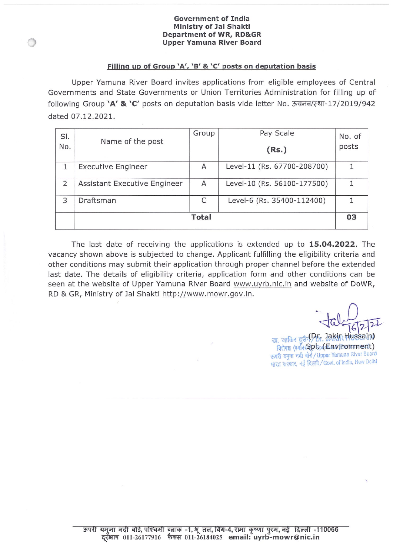#### **Government of India Ministry of Jal Shakti Department of WR, RD&GR Upper Yamuna River Board**

#### Filling up of Group 'A', 'B' & 'C' posts on deputation basis

Upper Yamuna River Board invites applications from eligible employees of Central Governments and State Governments or Union Territories Administration for filling up of following Group 'A' & 'C' posts on deputation basis vide letter No. ऊयनब/स्था-17/2019/942 dated 07.12.2021.

| SI.<br>No.     | Name of the post             | Group        | Pay Scale<br>(Rs.)          | No. of<br>posts |
|----------------|------------------------------|--------------|-----------------------------|-----------------|
|                | <b>Executive Engineer</b>    | A            | Level-11 (Rs. 67700-208700) |                 |
| $\overline{2}$ | Assistant Executive Engineer | A            | Level-10 (Rs. 56100-177500) |                 |
| 3              | Draftsman                    | C            | Level-6 (Rs. 35400-112400)  |                 |
|                |                              | <b>Total</b> |                             | 03              |

The last date of receiving the applications is extended up to 15.04.2022. The vacancy shown above is subjected to change. Applicant fulfilling the eligibility criteria and other conditions may submit their application through proper channel before the extended last date. The details of eligibility criteria, application form and other conditions can be seen at the website of Upper Yamuna River Board www.uyrb.nic.in and website of DoWR, RD & GR, Ministry of Jal Shakti http://www.mowr.gov.in.

डा. जाकिर हुसैन<sup>0</sup>15. Jakin Hussain) विशेषज्ञ (पर्यावरणि) p bp(danvironment) ऊपरी यमुना नदी बोर्ड / Upper Yamuna River Board भारत सरकार, नई दिल्ली/Govt. of India, New Dolhi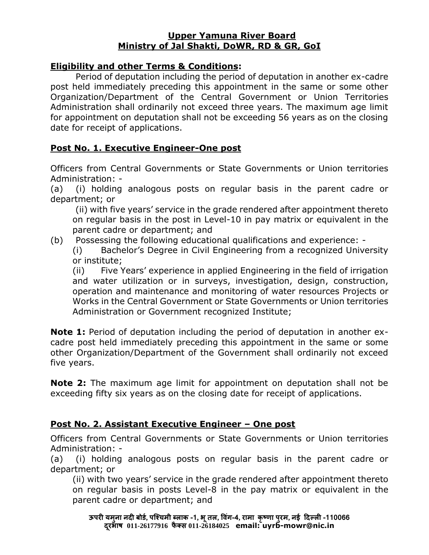#### **Upper Yamuna River Board Ministry of Jal Shakti, DoWR, RD & GR, GoI**

## **Eligibility and other Terms & Conditions:**

Period of deputation including the period of deputation in another ex-cadre post held immediately preceding this appointment in the same or some other Organization/Department of the Central Government or Union Territories Administration shall ordinarily not exceed three years. The maximum age limit for appointment on deputation shall not be exceeding 56 years as on the closing date for receipt of applications.

## **Post No. 1. Executive Engineer-One post**

Officers from Central Governments or State Governments or Union territories Administration: -

(a) (i) holding analogous posts on regular basis in the parent cadre or department; or

(ii) with five years' service in the grade rendered after appointment thereto on regular basis in the post in Level-10 in pay matrix or equivalent in the parent cadre or department; and

(b) Possessing the following educational qualifications and experience: -

(i) Bachelor's Degree in Civil Engineering from a recognized University or institute;

(ii) Five Years' experience in applied Engineering in the field of irrigation and water utilization or in surveys, investigation, design, construction, operation and maintenance and monitoring of water resources Projects or Works in the Central Government or State Governments or Union territories Administration or Government recognized Institute;

**Note 1:** Period of deputation including the period of deputation in another excadre post held immediately preceding this appointment in the same or some other Organization/Department of the Government shall ordinarily not exceed five years.

**Note 2:** The maximum age limit for appointment on deputation shall not be exceeding fifty six years as on the closing date for receipt of applications.

## **Post No. 2. Assistant Executive Engineer – One post**

Officers from Central Governments or State Governments or Union territories Administration: -

(a) (i) holding analogous posts on regular basis in the parent cadre or department; or

(ii) with two years' service in the grade rendered after appointment thereto on regular basis in posts Level-8 in the pay matrix or equivalent in the parent cadre or department; and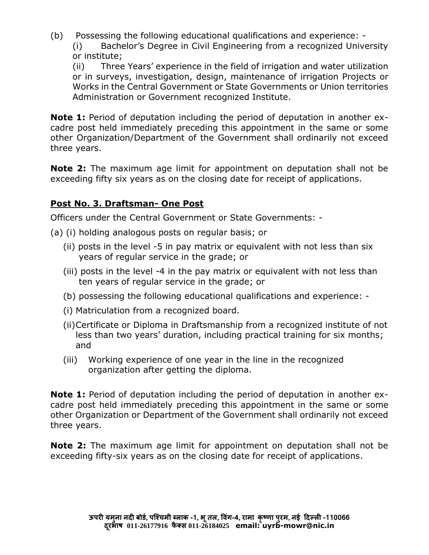(b) Possessing the following educational qualifications and experience: - (i) Bachelor's Degree in Civil Engineering from a recognized University or institute;

(ii) Three Years' experience in the field of irrigation and water utilization or in surveys, investigation, design, maintenance of irrigation Projects or Works in the Central Government or State Governments or Union territories Administration or Government recognized Institute.

**Note 1:** Period of deputation including the period of deputation in another excadre post held immediately preceding this appointment in the same or some other Organization/Department of the Government shall ordinarily not exceed three years.

**Note 2:** The maximum age limit for appointment on deputation shall not be exceeding fifty six years as on the closing date for receipt of applications.

## **Post No. 3. Draftsman- One Post**

Officers under the Central Government or State Governments: -

- (a) (i) holding analogous posts on regular basis; or
	- (ii) posts in the level -5 in pay matrix or equivalent with not less than six years of regular service in the grade; or
	- (iii) posts in the level -4 in the pay matrix or equivalent with not less than ten years of regular service in the grade; or
	- (b) possessing the following educational qualifications and experience: -
	- (i) Matriculation from a recognized board.
	- (ii)Certificate or Diploma in Draftsmanship from a recognized institute of not less than two years' duration, including practical training for six months; and
	- (iii) Working experience of one year in the line in the recognized organization after getting the diploma.

**Note 1:** Period of deputation including the period of deputation in another excadre post held immediately preceding this appointment in the same or some other Organization or Department of the Government shall ordinarily not exceed three years.

**Note 2:** The maximum age limit for appointment on deputation shall not be exceeding fifty-six years as on the closing date for receipt of applications.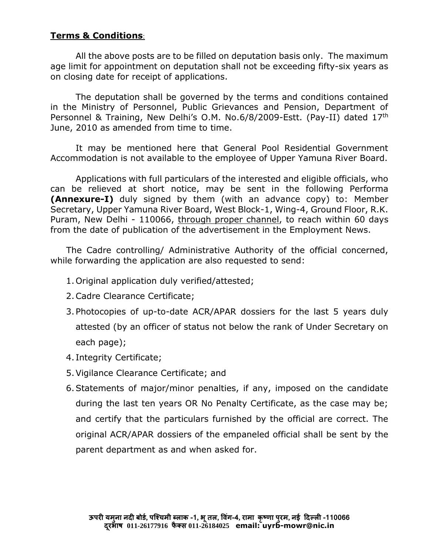## **Terms & Conditions**:

All the above posts are to be filled on deputation basis only. The maximum age limit for appointment on deputation shall not be exceeding fifty-six years as on closing date for receipt of applications.

The deputation shall be governed by the terms and conditions contained in the Ministry of Personnel, Public Grievances and Pension, Department of Personnel & Training, New Delhi's O.M. No.6/8/2009-Estt. (Pay-II) dated 17th June, 2010 as amended from time to time.

It may be mentioned here that General Pool Residential Government Accommodation is not available to the employee of Upper Yamuna River Board.

Applications with full particulars of the interested and eligible officials, who can be relieved at short notice, may be sent in the following Performa **(Annexure-I)** duly signed by them (with an advance copy) to: Member Secretary, Upper Yamuna River Board, West Block-1, Wing-4, Ground Floor, R.K. Puram, New Delhi - 110066, through proper channel, to reach within 60 days from the date of publication of the advertisement in the Employment News.

The Cadre controlling/ Administrative Authority of the official concerned, while forwarding the application are also requested to send:

- 1.Original application duly verified/attested;
- 2.Cadre Clearance Certificate;
- 3.Photocopies of up-to-date ACR/APAR dossiers for the last 5 years duly attested (by an officer of status not below the rank of Under Secretary on each page);
- 4. Integrity Certificate;
- 5.Vigilance Clearance Certificate; and
- 6.Statements of major/minor penalties, if any, imposed on the candidate during the last ten years OR No Penalty Certificate, as the case may be; and certify that the particulars furnished by the official are correct. The original ACR/APAR dossiers of the empaneled official shall be sent by the parent department as and when asked for.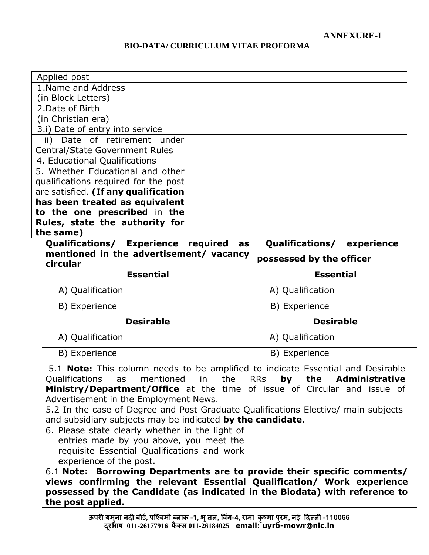**ANNEXURE-I**

#### **BIO-DATA/ CURRICULUM VITAE PROFORMA**

| Applied post                                                                                                                                     |                |                          |                       |
|--------------------------------------------------------------------------------------------------------------------------------------------------|----------------|--------------------------|-----------------------|
| 1. Name and Address                                                                                                                              |                |                          |                       |
| (in Block Letters)                                                                                                                               |                |                          |                       |
| 2. Date of Birth                                                                                                                                 |                |                          |                       |
| (in Christian era)                                                                                                                               |                |                          |                       |
| 3.i) Date of entry into service                                                                                                                  |                |                          |                       |
| ii) Date of retirement under                                                                                                                     |                |                          |                       |
| <b>Central/State Government Rules</b>                                                                                                            |                |                          |                       |
| 4. Educational Qualifications                                                                                                                    |                |                          |                       |
| 5. Whether Educational and other                                                                                                                 |                |                          |                       |
| qualifications required for the post                                                                                                             |                |                          |                       |
| are satisfied. (If any qualification<br>has been treated as equivalent                                                                           |                |                          |                       |
| to the one prescribed in the                                                                                                                     |                |                          |                       |
| Rules, state the authority for                                                                                                                   |                |                          |                       |
| the same)                                                                                                                                        |                |                          |                       |
| Qualifications/ Experience                                                                                                                       | required<br>as | <b>Qualifications/</b>   | experience            |
| mentioned in the advertisement/ vacancy                                                                                                          |                | possessed by the officer |                       |
| circular                                                                                                                                         |                |                          |                       |
| <b>Essential</b>                                                                                                                                 |                | <b>Essential</b>         |                       |
| A) Qualification                                                                                                                                 |                | A) Qualification         |                       |
| B) Experience                                                                                                                                    |                | B) Experience            |                       |
| <b>Desirable</b>                                                                                                                                 |                | <b>Desirable</b>         |                       |
| A) Qualification                                                                                                                                 |                | A) Qualification         |                       |
| B) Experience                                                                                                                                    |                | B) Experience            |                       |
| 5.1 <b>Note:</b> This column needs to be amplified to indicate Essential and Desirable                                                           |                |                          |                       |
| Qualifications<br>mentioned<br>in<br>as                                                                                                          | the            | <b>RRs</b><br>the<br>by  | <b>Administrative</b> |
| <b>Ministry/Department/Office</b> at the time of issue of Circular and issue of                                                                  |                |                          |                       |
| Advertisement in the Employment News.                                                                                                            |                |                          |                       |
| 5.2 In the case of Degree and Post Graduate Qualifications Elective/ main subjects<br>and subsidiary subjects may be indicated by the candidate. |                |                          |                       |
| 6. Please state clearly whether in the light of                                                                                                  |                |                          |                       |
| entries made by you above, you meet the                                                                                                          |                |                          |                       |
| requisite Essential Qualifications and work                                                                                                      |                |                          |                       |
| experience of the post.                                                                                                                          |                |                          |                       |
| Borrowing Departments are to provide their specific comments/<br>6.1 <b>Note:</b>                                                                |                |                          |                       |
| views confirming the relevant Essential Qualification/ Work experience                                                                           |                |                          |                       |
| possessed by the Candidate (as indicated in the Biodata) with reference to                                                                       |                |                          |                       |
| the post applied.                                                                                                                                |                |                          |                       |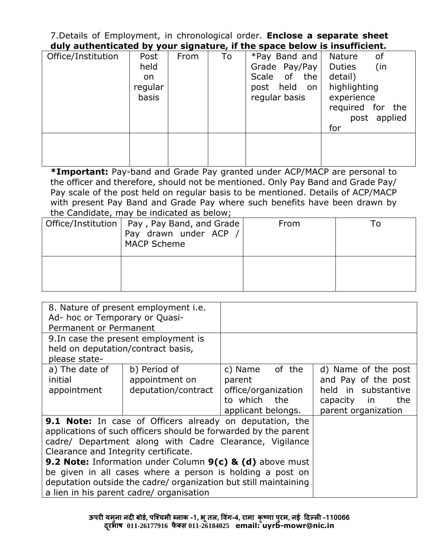7.Details of Employment, in chronological order. **Enclose a separate sheet duly authenticated by your signature, if the space below is insufficient.**

| Office/Institution | Post          | From | To | *Pay Band and                      | Nature<br>of                     |
|--------------------|---------------|------|----|------------------------------------|----------------------------------|
|                    | held          |      |    | Grade Pay/Pay                      | (in<br><b>Duties</b>             |
|                    | on<br>regular |      |    | Scale of the<br>held<br>post<br>on | detail)<br>highlighting          |
|                    | basis         |      |    | regular basis                      | experience                       |
|                    |               |      |    |                                    | required for the<br>post applied |
|                    |               |      |    |                                    | for                              |
|                    |               |      |    |                                    |                                  |
|                    |               |      |    |                                    |                                  |
|                    |               |      |    |                                    |                                  |

**\*Important:** Pay-band and Grade Pay granted under ACP/MACP are personal to the officer and therefore, should not be mentioned. Only Pay Band and Grade Pay/ Pay scale of the post held on regular basis to be mentioned. Details of ACP/MACP with present Pay Band and Grade Pay where such benefits have been drawn by the Candidate, may be indicated as below;

| Office/Institution   Pay, Pay Band, and Grade<br>Pay drawn under ACP /<br><b>MACP Scheme</b> | From |  |
|----------------------------------------------------------------------------------------------|------|--|
|                                                                                              |      |  |

|                                      | 8. Nature of present employment <i>i.e.</i>                      |                     |                     |
|--------------------------------------|------------------------------------------------------------------|---------------------|---------------------|
| Ad- hoc or Temporary or Quasi-       |                                                                  |                     |                     |
| Permanent or Permanent               |                                                                  |                     |                     |
|                                      | 9. In case the present employment is                             |                     |                     |
| held on deputation/contract basis,   |                                                                  |                     |                     |
| please state-                        |                                                                  |                     |                     |
| a) The date of                       | b) Period of                                                     | c) Name of the      | d) Name of the post |
| initial                              | appointment on                                                   | parent              | and Pay of the post |
| appointment                          | deputation/contract                                              | office/organization | held in substantive |
|                                      |                                                                  | to which the        | the<br>capacity in  |
|                                      |                                                                  | applicant belongs.  | parent organization |
|                                      | <b>9.1 Note:</b> In case of Officers already on deputation, the  |                     |                     |
|                                      | applications of such officers should be forwarded by the parent  |                     |                     |
|                                      | cadre/ Department along with Cadre Clearance, Vigilance          |                     |                     |
| Clearance and Integrity certificate. |                                                                  |                     |                     |
|                                      | 9.2 Note: Information under Column 9(c) & (d) above must         |                     |                     |
|                                      | be given in all cases where a person is holding a post on        |                     |                     |
|                                      | deputation outside the cadre/ organization but still maintaining |                     |                     |
|                                      | a lien in his parent cadre/ organisation                         |                     |                     |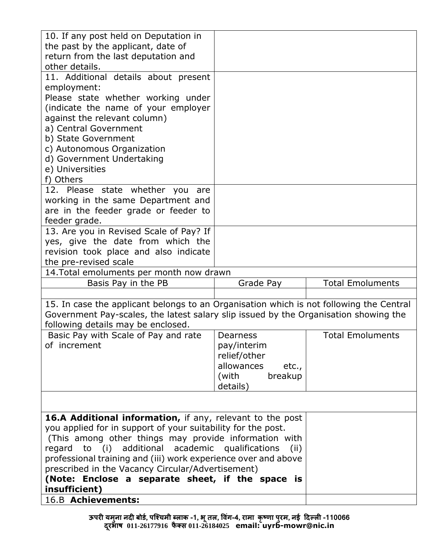| 10. If any post held on Deputation in                                                   |                         |                         |
|-----------------------------------------------------------------------------------------|-------------------------|-------------------------|
| the past by the applicant, date of                                                      |                         |                         |
| return from the last deputation and                                                     |                         |                         |
| other details.                                                                          |                         |                         |
| 11. Additional details about present                                                    |                         |                         |
| employment:                                                                             |                         |                         |
| Please state whether working under                                                      |                         |                         |
| (indicate the name of your employer                                                     |                         |                         |
| against the relevant column)                                                            |                         |                         |
| a) Central Government                                                                   |                         |                         |
| b) State Government                                                                     |                         |                         |
| c) Autonomous Organization                                                              |                         |                         |
| d) Government Undertaking                                                               |                         |                         |
| e) Universities                                                                         |                         |                         |
| f) Others                                                                               |                         |                         |
| 12. Please state whether you<br>are                                                     |                         |                         |
| working in the same Department and                                                      |                         |                         |
| are in the feeder grade or feeder to                                                    |                         |                         |
| feeder grade.                                                                           |                         |                         |
| 13. Are you in Revised Scale of Pay? If                                                 |                         |                         |
| yes, give the date from which the                                                       |                         |                         |
| revision took place and also indicate                                                   |                         |                         |
| the pre-revised scale                                                                   |                         |                         |
| 14. Total emoluments per month now drawn                                                |                         |                         |
| Basis Pay in the PB                                                                     | Grade Pay               | <b>Total Emoluments</b> |
|                                                                                         |                         |                         |
| 15. In case the applicant belongs to an Organisation which is not following the Central |                         |                         |
| Government Pay-scales, the latest salary slip issued by the Organisation showing the    |                         |                         |
| following details may be enclosed.                                                      |                         | <b>Total Emoluments</b> |
| Basic Pay with Scale of Pay and rate                                                    | Dearness<br>pay/interim |                         |
| of increment                                                                            | relief/other            |                         |
|                                                                                         | allowances<br>etc.,     |                         |
|                                                                                         | (with<br>breakup        |                         |
|                                                                                         | details)                |                         |
|                                                                                         |                         |                         |
|                                                                                         |                         |                         |
| 16.A Additional information, if any, relevant to the post                               |                         |                         |
| you applied for in support of your suitability for the post.                            |                         |                         |
| (This among other things may provide information with                                   |                         |                         |
| regard to (i) additional academic qualifications                                        | (ii)                    |                         |
| professional training and (iii) work experience over and above                          |                         |                         |
| prescribed in the Vacancy Circular/Advertisement)                                       |                         |                         |
| (Note: Enclose a separate sheet, if the space is                                        |                         |                         |
| insufficient)                                                                           |                         |                         |
|                                                                                         |                         |                         |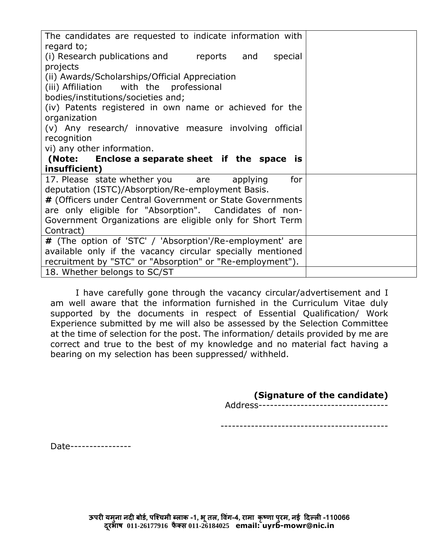| The candidates are requested to indicate information with<br>regard to;                                        |  |
|----------------------------------------------------------------------------------------------------------------|--|
| (i) Research publications and reports and<br>special                                                           |  |
| projects                                                                                                       |  |
| (ii) Awards/Scholarships/Official Appreciation<br>(iii) Affiliation with the professional                      |  |
| bodies/institutions/societies and;                                                                             |  |
| (iv) Patents registered in own name or achieved for the                                                        |  |
| organization                                                                                                   |  |
| (v) Any research/ innovative measure involving official                                                        |  |
| recognition                                                                                                    |  |
| vi) any other information.                                                                                     |  |
|                                                                                                                |  |
| (Note: Enclose a separate sheet if the space is                                                                |  |
| insufficient)                                                                                                  |  |
| for<br>17. Please state whether you are<br>applying                                                            |  |
| deputation (ISTC)/Absorption/Re-employment Basis.<br># (Officers under Central Government or State Governments |  |
| are only eligible for "Absorption". Candidates of non-                                                         |  |
| Government Organizations are eligible only for Short Term                                                      |  |
| Contract)                                                                                                      |  |
| # (The option of 'STC' / 'Absorption'/Re-employment' are                                                       |  |
| available only if the vacancy circular specially mentioned                                                     |  |
| recruitment by "STC" or "Absorption" or "Re-employment").<br>18. Whether belongs to SC/ST                      |  |

I have carefully gone through the vacancy circular/advertisement and I am well aware that the information furnished in the Curriculum Vitae duly supported by the documents in respect of Essential Qualification/ Work Experience submitted by me will also be assessed by the Selection Committee at the time of selection for the post. The information/ details provided by me are correct and true to the best of my knowledge and no material fact having a bearing on my selection has been suppressed/ withheld.

### **(Signature of the candidate)**

Address----------------------------------

--------------------------------------------

Date----------------